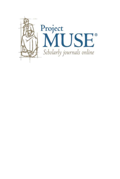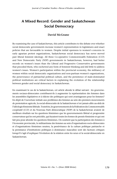# **A Mixed Record: Gender and Saskatchewan Social Democracy**

# **David McGrane**

By examining the case of Saskatchewan, this article contributes to the debate over whether social democratic governments increase women's representation in legislatures and enact policies that are favourable to women. Despite initial openness to women's concerns in early agrarian protest organizations, Saskatchewan social democracy has never moved past liberal feminist ideology. All three Co-operative Commonwealth Federation (CCF) and New Democratic Party (NDP) governments in Saskatchewan, however, had better records on women's issues than the Liberal and Progressive Conservative governments that preceded them, who eschewed any form of feminist thinking and did little to address women's issues. Women's participation within the provincial economy, the militancy of women within social democratic organizations and non-partisan women's organizations, the perseverance of patriarchal political culture, and the persistence of male-dominated political institutions are critical factors in explaining the evolution of the relationship between gender and social democracy in Saskatchewan.

En examinant le cas de la Saskatchewan, cet article aborde le débat suivant : les gouvernements sociaux-démocrates contribuent-ils à augmenter la représentation des femmes dans les assemblées législatives et à édicter des politiques qui sont avantageuses pour les femmes? En dépit de l'ouverture initiale aux problèmes des femmes au sein des premiers mouvements de protestation agricole, la social-démocratie de la Saskatchewan n'est jamais allée au-delà de l'idéologie féministe libérale. Toutefois, les gouvernements de la Fédération du Commonwealth coopératif (CCF) et du Nouveau Parti démocratique (NDP) de la Saskatchewan avaient de meilleurs résultats sur les questions féminines que les gouvernements libéral et progressiste conservateur qui les ont précédés, qui fuyaient toutes les formes de pensée féministe et qui ont fait peu pour aborder les questions féminines. On soutient que la participation des femmes à l'économie provinciale, le militantisme des femmes au sein d'organisations socio-démocrates et d'organisations féminines neutres, la persévérance de la culture politique patriarche et la persistance d'institutions politiques à dominance masculine sont des facteurs critiques lorsqu'il s'agit d'expliquer l'évolution de la relation entre les sexes et la social-démocratie en Saskatchewan.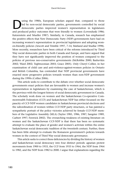Ultimate 1980s, European scholars argued that, compared to those led by non-social democratic parties improved women's representation in legislatures led by non-social democratic parties, governments controlled by social and produced policy outcomes that were friendly to women (Lovenduski 1986; Katzenstein and Mueller 1987). Similarly, in Canada, research has emphasized the positive effects that New Democratic Party (NDP) governments have had on increasing women's representation in provincial legislatures and adopting women-friendly policies (Arscott and Trimble 1997, 7-14; Matland and Studlar 1998). More recently, researchers have been critical of the reforms introduced by Third Way social democratic parties in both Canada and Europe, and have argued that they have not significantly improved the position of women compared to the policies of previous neo-conservative governments (McRobbie 2000; Bashevkin 2002; Ward 2002; Teghtsoonian 2003; Grace 2005). Only Cheryl Collier, in her examination of child care and anti-violence-against-women policies in Ontario and British Columbia, has contended that NDP provincial governments have enacted more progressive policies towards women than non-NDP government during the 1990s (Collier 2006).

This article seeks to contribute to the debate over whether social democratic governments enact policies that are favourable to women and increase women's representation in legislatures by examining the case of Saskatchewan, which is the province with the longest history of social democratic government in Canada. The scholarly work done on women and the Saskatchewan Co-operative Commonwealth Federation (CCF) and Saskatchewan NDP has either focussed on the paucity of CCF-NDP women candidates in Saskatchewan provincial elections and the subordination of women within CCF-NDP party structures, or has painted a sympathetic portrait of the policy victories achieved by female CCF-NDP members of the Legislative Assembly (MLA) (Taylor 1985, 1986, 1987; Sangster 1989, Carbert 1997; Fenwick 2002). The overarching weakness of existing literature on women and the Saskatchewan CCF-NDP is that there has been no systematic attempt to evaluate the place of gender and women's activism within the entire Saskatchewan social democratic tradition of the twentieth century. Further, there has been little attempt to evaluate the Romanow government's policies towards women in the context of Third Way social democratic governance.

This article seeks to correct these deficiencies by dividing the history of women and Saskatchewan social democracy into four distinct periods: agrarian protest movements from 1900 to 1933, the CCF from 1933 to 1964, the NDP from 1964 to 1982, and the NDP from 1982 to 2000. I argue that explanations regarding the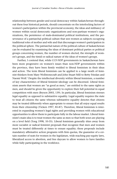relationship between gender and social democracy within Saskatchewan throughout these four historical periods, should concentrate on the interlocking factors of women's participation within the provincial economy, the ideas and militancy of women within social democratic organizations and non-partisan women's organizations, the persistence of male-dominated political institutions, and the perseverance of a patriarchal political culture that sees women as subjects occupying traditional roles of mother and wife and that discourages women's participation in the political sphere. The patriarchal nature of the political culture of Saskatchewan can be evaluated by examining the ideas of dominant political parties or political groups concerning women, the number of women elected, the strength of women's groups, and the timid or radical nature of the ideas of women's groups.

Further, I contend that, while CCF-NDP governments in Saskatchewan have been more progressive on women's issues than non-NDP governments within the province, they have been firmly wedded to liberal feminism in their ideas and action. The term liberal feminism can be applied to a large swath of feminist thinkers from Mary Wollstonecraft and John Stuart Mill to Betty Friedan and Naomi Wolf.1 Despite the intellectual diversity within liberal feminism, a number of key characteristics of liberal feminist ideology can be discerned. Liberal feminism asserts that women are "as good as men," are entitled to the same rights as men, and should be given the opportunity to explore their full potential in equal competition with men (Bryson 2003, 139). In particular, liberal feminism stresses legal equality as opposed to substantive equality. Legal equality requires the state to treat all citizens the same whereas substantive equality denotes that citizens may be treated differently when appropriate to ensure that all enjoy equal results from their citizenship (Vickers 1997, 85-87). Therefore, liberal feminism is interested in expanding women's legal rights and providing women with educational opportunities to allow them to participate fully in the labour market. Liberal feminism's main idea is to treat women the same as men so that both sexes are playing on a level field (Tong 1998, 10-35). Liberal feminism generally shies away from more socialist or radical feminist proposals that recognize that men and women must be treated differently at times to ensure equality; these proposals include mandatory affirmative action programs with firm quotas, the guarantee of a certain number of seats for women in the legislature, wide-reaching pay-equity laws, liberalized access to abortion, and free daycare to allow women to have families while fully participating in the workforce.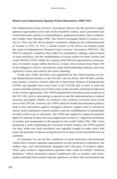## **Women and Saskatchewan Agrarian Protest Movements (1900-1933)**

The Saskatchewan Grain Growers' Association (SGGA) was the province's largest agrarian organization at the turn of the twentieth century, and it promoted such social democratic policies as nationalization, graduated taxation, and a rudimentary welfare state (Knuttila 1994). The SGGA's newspaper started a women's section in 1910, and the SGGA passed a resolution calling for the enfranchisement of women in 1912. In 1913, a female section of the SGGA was formed under the name of Saskatchewan Women's Grain Growers' Association (SWGGA). The SWGGA adopted a platform that called for prohibition, suffrage, improvement of rural education, and the establishment of social centres for farm women and youth (SWGGA 1914). While the creation of the SWGGA represented a consciousness of women's issues within the SGGA, women never formed more than 10% of the delegates to SGGA conventions, rarely held leadership positions, and were expected to clean and cook for the men's meetings.

In the early 1920s, the SGGA was supplanted by the United Farmers of Canada (Saskatchewan Section) or the UFC(SS). Like the SGGA, the UFC(SS) constitution created a women's section called the United Farm Women of Saskatchewan (UFWS) and specified that every local of the UFC(SS) had to have at least five women and that women were to have seats on the executive and board of directors of the central organization. The UFWS adopted the social democratic positions of the UFC (SS), such as advocating co-operatives and the nationalization of natural resources and public utilities. In contrast to the exclusive economic focus of the men in the UFC(SS), however, the UFWS called for health and education policies, such as free inoculation against contagious diseases, regular visits to schools by nurses, better training for school teachers, and the establishment of scholarships for farm youth to go to university. The UFWS also argued for improved property rights for married women and encouraged farm women to "regard the profession of mother and homemaker as the greatest in the world" (Jahn 1994, 198). Upon producing a study illustrating the overwork of farm women, the UFWS pointed out that, while new farm machinery was regularly bought to make men's jobs easier, the purchase of labour-saving devices for women in the household was not a priority.

In summary, we can see the confluence of social democracy and feminism within these women's agrarian organizations as they promoted co-operatives, the welfare state, and nationalization alongside their advocacy of women's rights. These early women's organizations espoused what could be termed "maternal feminism," which promoted women's traditional roles as mothers and homemakers and held that women's special experience in these roles necessitated that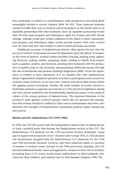they participate in politics to counterbalance male perspectives and bring about meaningful reforms to society (Andrew 2004, 96-102). These maternal feminists wanted to fulfill their roles as mothers and homemakers on the family farm in an equitable partnership with their husbands. Such an equitable partnership would start off with equal property and inheritance rights for women and with female suffrage. Suffrage would give women influence in the affairs of their community, and property and inheritance rights would provide women with some control over the farm that they had worked so hard to build and make successful.

Traditional accounts of Saskatchewan history often ignore the fact that the success of settlers' homesteads was heavily dependent upon the labour of women. As the wives of farmers, women's duties included cleaning, hauling water, gathering firewood, making clothes, preparing meals, tending to family food sources such as gardens, poultry, and livestock, assisting their husbands with the production of market crops as was necessary, and generating additional income through the sale of handicrafts and produce (Rollings-Magnusson 2000). Given the importance of women to farm operations, it is no surprise that early Saskatchewan farmer organizations displayed openness to women's participation and concern for women's issues; however, as we have seen, women were given little power within the agrarian protest movement. Further, the small number of women elected to leadership positions in agrarian movements or to the provincial legislature during this time period underlines the fundamentally patriarchal nature of the political culture of the young province of Saskatchewan. The maternal feminism of the province's early agrarian women's groups, which did not question the assumption that women should be confined to their roles as homemakers and wives, also illustrates the strength of Saskatchewan's patriarchal political culture during this time period.

#### **Women and the Saskatchewan CCF (1933-1964)**

In 1932, the UFC(SS) joined with the Independent Labour Party of Saskatchewan to form a political party that became the Saskatchewan section of the CCF. The Saskatchewan CCF platform for the 1934 provincial election demanded "equal pay for equal work irrespective of sex" (Farmer-Labor Group 1934, 2). This demand was mysteriously dropped from the Saskatchewan CCF platforms for the 1938 and 1944 provincial elections, however, and these platforms made no mention of women or women's issues. Instead, in the 1944 provincial campaign, the CCF stressed traditional family values and appealed to women in their role as mothers, promising that a CCF victory would mean employment for their husbands, education for their children, and medical care for their families (Sangster 1989, 99).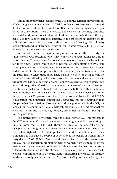Unlike other provincial sections of the CCF and the agrarian movements out of which it grew, the Saskatchewan CCF did not have a women's section. Instead, it set up women's clubs at the local level that had no voting rights or delegate status for conventions. These clubs cooked and cleaned for meetings, performed secretarial work, went door to door at election time, and raised funds through bake sales, fowl suppers, and sock knitting. In the era before tax exemptions for political donations and in a party with no corporate financing, the voluntary organizational and fundraising activities of women were essential for the election of male CCF candidates in Saskatchewan.

In contrast to women's important organizational roles within the party, the Saskatchewan CCF presented only three women candidates during its time in power: Beatrice Trew ran twice, Marjorie Cooper ran four times, and Gladys Strum ran three times. Cooper won in each of her four attempts starting in 1952, and Strum joined her in the legislature for one term from 1960 to 1964. Both Cooper and Strum ran in the multiple-member ridings of Regina and Saskatoon, where the party had to select three candidates, making it easier for them to win the nomination and allowing CCF voters to vote for two men and a woman. Due to the gendered nature of secretarial work, Cooper was asked to serve as caucus secretary. Although she refused that assignment, she remained a maternal feminist who believed that women should contribute to society through their traditional roles as mothers and homemakers, and she did not criticize women's position in the party or the CCF government's inactivity on women's issues (Fenwick 2002). While Strum was a maternal feminist like Cooper, she was more outspoken than Cooper in her denunciation of women's subordinate position within the CCF; she lobbied for the appointment of a female cabinet minister. She was marginalized effectively within the CCF caucus, however, during her four years in the legislature (Taylor 1986).

The limited power of women within the Saskatchewan CCF was reflected in the CCF government's lack of awareness concerning women's issues during its time in power from 1944 to 1964. Throughout this time period, Saskatchewan CCF platforms during provincial elections never mentioned women. The CCF's 1947 Bill of Rights did not contain protection from discrimination based on sex although this was added a couple of years later at the behest of women in the party (Patrias 2006, 280-81). Moreover, during its first term of the government, the CCF passed legislation prohibiting married women from being hired by the Saskatchewan government in order to provide more employment for returning veterans; this legisation was also eliminated a couple of years later in response to women's opposition to it in the party. Besides increasing allowances for destitute mothers, the only real advances that 20 years of CCF government brought for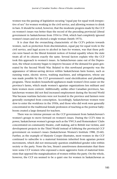women was the passing of legislation securing "equal pay for equal work irrespective of sex" for women working in the civil service, and allowing women to drink in bars. It should be noted, however, that the moderate progress made by the CCF on women's issues was better than the record of the preceding provincial Liberal government in Saskatchewan from 1934 to 1944, which had completely ignored women's issues and not elected a single woman (Smith 1975).

It is clear that the overarching characteristic of the CCF's policies towards women, such as protection from discrimination, equal pay for equal work in the civil service, and legal access to alcohol in bars for women, was that these policies were based on the liberal feminist notion of formal equality where the state treats all of its citizens exactly the same. Several factors explain why the CCF took this approach to women's issues. As Saskatchewan came out of the Depression, the wheat economy began to improve because of the demand for grain generated by the Second World War. Related to this newfound prosperity was the appearance of labour-saving devices within Saskatchewan farm homes, such as running water, electric stoves, washing machines, and refrigerators, whose use was made possible by the CCF government's rural electrification and plumbing programs. These modern household appliances made women's lives easier on the province's farms, which made women's agrarian organizations less militant and farm women more content. Additionally, unlike other Canadian provinces, Saskatchewan women did not find increased employment during the Second World War because wartime factories were not located in the province and farmers were generally exempted from conscription. Accordingly, Saskatchewan women were slow to enter the workforce in the 1950s, and those who did work were generally concentrated in the traditional female profession of teaching as the postwar babyboom created a large demand for teachers.

There was no intense pressure on the CCF government from Saskatchewan's women's groups to move forward on women's issues. During the CCF's time in power, Saskatchewan women's groups such as the YWCA and Homemakers' Clubs concentrated on community theatre, craft making, aid to British war victims, and development projects in the Third World instead of lobbying the provincial CCF government on women's issues (Saskatchewan Women's Institute 1988, 23-60). Further, as the example of Marjorie Cooper illustrates, most women in the CCF continued to subscribe to a maternal feminism inherited from agrarian protest movements, which did not strenuously question established gender roles within society or the party. None the less, Strum's assertiveness demonstrates that there were some CCF women who espoused a more aggressive form of maternal feminism that opposed the marginalization of women within the party. On the whole, however, the CCF era seemed to be a quiet one for women in Saskatchewan as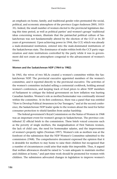an emphasis on home, family, and traditional gender roles permeated the social, political, and economic atmosphere of the province (Leger-Anderson 2005, 1033- 35). Indeed, the small number of women elected to the provincial legislature during this time period, as well as political parties' and women's groups' traditional ideas concerning women, illustrate that the patriarchal political culture of Saskatchewan was not fundamentally altered by the election of the CCF or its 20 years of government. Upon achieving power in 1944, the CCF, which was already a male-dominated institution, entered into the male-dominated institutions of the Saskatchewan state. The dominance of males within both the CCF party organization and state institutions controlled by the party while it was in government did not create an atmosphere congenial to the advancement of women's issues.

#### **Women and the Saskatchewan NDP (1964 to 1982)**

In 1965, the wives of two MLAs created a women's committee within the Saskatchewan NDP. The provincial executive appointed members of the women's committee, and it reported directly to the provincial executive. The activities of the women's committee included selling a centennial cookbook, holding annual women's conferences, and keeping track of food prices to allow NDP members of Parliament to critique the federal government on how inflation was hurting Canadian families. Women's role as mother/homemaker was continually stressed within the committee. At its first conference, there was a panel that was entitled "How to Develop Political Awareness in Our Teenagers," and at the second conference, the Saskatchewan NDP leader spoke to the women about the need for better consumer protection to shield families from undue hardship.

The federal government's Royal Commission on the Status of Women in 1968 was an important event for women's groups in Saskatchewan. The province contributed 32 official briefs to the commission. These briefs voiced concerns such as the poverty of single mothers, the marginalization of First Nations women, the lack of child care, the need for homemaker salaries, and the improvement of women's property rights (Norman 1997). Women's role as mothers was at the forefront of the submission that the NDP Women's Committee submitted to the commission (1968). The comprehensive document expressed the opinion that it is desirable for mothers to stay home to raise their children but recognized that a number of circumstances could arise that make this impossible. Thus, it argued that welfare allowances should be raised to "a sum adequate to maintain mother and children at home," and part-time work should be promoted for women with children. The submission advocated changes in legislation to improve women's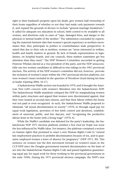right to their husband's property upon his death, give women half ownership of their home regardless of whether or not they had made cash payments towards it, and expand the grounds of divorce to include "general marriage breakdown." It called for adequate sex education in school, birth control to be available to all women, and abortions only in cases of "rape, damaged fetus, and danger to the physical or mental health of the mother." The submission concluded by expressing the maternal feminist idea that women's special experience as mothers necessitates that, they participate in politics to counterbalance male perspectives. It stated that due to their role as mothers, women are "more interested in welfare, health and family matters in general. By lack of female representation in legislatures, on hospital boards, and city councils, these matters sometimes get less attention than they need." The NDP Women's Committee succeeded in getting Pemrose Whelan elected as a vice-president of the party, and the NDP unsuccessfully ran two women candidates in difficult-to-win ridings in the 1967 provincial election. The activity of the NDP women's committee did not, however, provoke the inclusion of women's issues within the 1967 provincial election platform, nor were women's issues included in the speeches of Woodrow Lloyd during his time as leader (Quiring 2004, 16-17).

A Saskatchewan Waffle section was founded in 1970, and it brought the American New Left's concern with women's liberation into the Saskatchewan NDP. The Saskatchewan Waffle manifesto critiqued the NDP for marginalizing women within party structures and argued that women were discriminated against, that they were treated as second-class citizens, and that their labour within the home was not paid or even recognized. As such, the Saskatchewan Waffle proposed to eliminate "all sexual discrimination in society" (1970, 6) through equal pay for equal work legislation, provision of free birth control and abortions, establishment of universal, public, and free daycare, and "recognizing the productive labour done in the home with a living wage" (1970, 6).

While the Waffle's candidate was defeated for the party's leadership, the Saskatchewan NDP 1971 election platform entitled a *New Deal for People* was none the less influenced by Waffle ideas. For instance, the platform contained a section on human rights that promised to enact a new Human Rights Code to "extend fair employment practices to prohibit discrimination because of sex, and to guarantee employed women a leave of absence for pregnancy" (NDP 1971, 20). This sentence on women was the first movement forward on women's issues in the CCF-NDP since the Douglas government inserted discrimination on the basis of sex into the Saskatchewan Human Rights Code and passed legislation guaranteeing equal pay for equal work for those working in the provincial government in the early 1950s. During the 1971 provincial election campaign, the NDP's new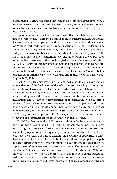leader, Allan Blakeney, recognized that women do not receive equal pay for equal work and face discriminatory employment practices, and therefore he promised to establish a provincial committee to examine the status of women in the province (Blakeney 1971).

Upon winning the election, the first moves that the Blakeney government made on women's issues were the passing of an amendment to the *Labour Standards Act* ensuring that an employer could not pay men and women different rates for "similar work performed in the same establishment under similar working conditions which requires similar skills, similar effort and similar responsibility" and giving the Women's Bureau in the Department of Labour the power to initiate its own investigations concerning pay inequities, leading to compensation for a number of women in the province (Saskatchewan Department of Labour 1975, 47). Despite calls from women's groups and the trade union movement for the government to adopt equal pay for work of equal value, the government did not move in this direction because it claimed that it was unable "to identify in a practical administrative way how to evaluate and measure work of equal value" (Snyder 2000, 125).

In 1973, the Blakeney government established a task force to study the recommendations of the final report of the federal government's Royal Commission on the Status of Women in order to discern which recommendations had been already implemented by the Saskatchewan government and which continued to be outstanding. While the task force noted that many of the commission's recommendations had already been implemented in Saskatchewan, it did identify a number of areas where more work was needed, such as employment discrimination based on marital status, appointment of women to government boards, marital property, daycare, and birth control (Saskatchewan Department of Labour 1973). The government appointed the Advisory Council on the Status of Women to devise policy strategies on the areas outlined by the task force.

The NDP's platform in the 1975 provincial election displayed a greater awareness of women's issues than its 1971 platform through commitments to improving marriage property laws, "further steps" to eliminate discrimination based on sex, and a program to provide equal opportunities for women in the public service (NDP 1975, 22). Upon its re-election, the government established a career development office to upgrade the skills of women already employed in the public sector, attract women to senior positions in government, and encourage the appointment of more women to government boards. The government replaced the Women's Bureau, which had been created by the Liberals in the 1960s, with the Women's Division, which performed the same functions as the bureau but had a greater focus on the continuing education of women and raising awareness of equal opportunity and rights for women. The government also legislated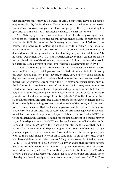that employers must provide 18 weeks of unpaid maternity leave to all female employees. Finally, the *Matrimonial Homes Act* was introduced to improve married women's control over a couple's farmland and property, thereby responding to a grievance that had existed in Saskatchewan since the First World War.

The Blakeney government was also forced to deal with the growing demand for abortions resulting from the federal government's easing of restrictions on abortion in 1969. In response, the Blakeney government simplified and rationalized the procedures for obtaining an abortion within Saskatchewan hospitals but maintained that "Our basic goal for abortions policy should be to reduce the demand for abortions by an active family planning program" (Saskatchewan Public Health Department 1973, 4). The Saskatchewan government did not call for the further liberalization of abortion laws, however, nor did it set up clinics that would facilitate access to abortion like the Parti Québécois government did in 1978.<sup>2</sup>

Under the daycare policy established by the Saskatchewan Liberal government in 1969, the provincial government created minimal criteria for licensing privately owned and non-profit daycare centres, gave out very small grants to daycare centres, and provided modest subsidies to low-income parents based on a means test. After pressure from within the NDP party and citizen groups such as the Saskatoon Daycare Development Committee, the Blakeney government provided more money for establishment grants and operating subsidies, but changed very little in the structure of government assistance to daycare except to increase parent control and favour non-profit centres (Martin 1995). Unlike other universal social programs, universal free daycare can be perceived to endanger the traditional family by enabling women to work outside of the home, and this seems to have been the reason that the Blakeney government did not move to establish a public system of universal free daycare. The government's logic was made clear in a debate over a motion presented by John Richards, the sole Waffle NDP MLA, to the Saskatchewan Legislature calling for the establishment of a public, universal, and free daycare system. No NDP member spoke in favour of Richards's resolution, and Gordon MacMurchy, the Education minister made it clear that the first priority for the government's daycare program was provision of daycare to single parents or parents whose income was "low and [where] the other spouse must work to make ends meet"; he went on to state that "in all possible cases people who have children should raise them too" (Legislative Assembly of Saskatchewan 1974, 1048). Minister of Social Services Alex Taylor added that universal daycare would be an unfair subsidy for the rich (1050). Herman Rolfes, an NDP government MLA even argued that "the mother's place is in the home (1052)" while another NDP MLA Paul Mastoway went as far as to declare that universally accessible daycare "would really and truly promote family breakdown" (1053). Thus,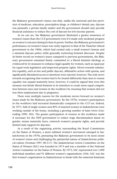the Blakeney government's stance was that, unlike the universal and free provision of medicare, education, prescription drugs, or children's dental care, daycare was primarily a private family matter and the government should only provide financial assistance to reduce the cost of daycare for low-income parents.

As we can see, the Blakeney government illustrated a greater awareness of women's issues than the CCF government even if it made only moderate progress on women's concerns during its time in power. Further, the Blakeney government's performance on women's issues was vastly superior to that of the Thatcher Liberal government in the 1960s, which had created only a small women's bureau and a minimal daycare policy while generally eschewing feminist discourse. Despite its better record on women's issues compared to previous governments, the Blakeney government remained firmly committed to a liberal feminist ideology as evidenced by its measures to enhance legal equality for women, such as equal pay for equal work legislation and improved property rights. Moves towards substantive equality, such as free and public daycare, affirmative action with quotas, and significantly liberalized access to abortions were rejected, however. The only move towards recognizing that women had to be treated differently than men to ensure equality was unpaid maternity leave; however, it could be argued that even this measure was firmly liberal feminist in its intention to create more equal competition between men and women in the workforce by ensuring that women did not lose their employment due to pregnancy.

There were multiple reasons for the moderate moves forward on women's issues made by the Blakeney government. By the 1970s, women's participation in the workforce had increased dramatically compared to the CCF era. Indeed, by 1971, half of single women and 40% of married women in Saskatchewan were working outside of the home, including a growing number of farm wives (Gruending 1990, 185). The greater participation of women in the workforce made it necessary for the NDP government to reduce wage discrimination based on gender, ensure maternity leave, entrench women's property rights, and provide limited state support for daycares.

As a result of the organizing activity surrounding the Royal Commission on the Status of Women, a more militant women's movement emerged in Saskatchewan in the 1970s, pressuring the Blakeney government to be more aware of women's issues and challenging the patriarchal nature of Saskatchewan political culture (Norman 1997, 80-117). The Saskatchewan Action Committee on the Status of Women (SAC) was founded in 1973 and was a member of the National Action Committee on the Status of Women. By 1975, SAC represented over 1,000 individual members and 91 different women's organizations (104). SAC was the first women's organization in Saskatchewan to break with the maternal feminism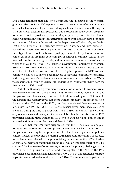and liberal feminism that had long dominated the discourse of the women's groups in the province. SAC espoused ideas that were more reflective of radical or socialist feminist ideologies, mixed alongside liberal feminist ideas. During the 1975 provincial election, SAC pressed for quota-based affirmative action programs for women in the provincial public service, expanded powers for the Human Rights Commission to initiate investigations on its own, and advocated for more resources for a Women's Bureau within the Department of Labour (*Regina Leader-Post* 1975). Throughout the Blakeney government's second and third terms, SAC pushed the government towards public and universal daycare, removal of gender stereotypes from school textbooks, equal pay for work of equal value, abortion clinics, educational programs concerning birth control, inclusion of sexual harassment within the human rights code, and improved services for victims of marital violence (SAC 1978; 1982). The Blakeney government's awareness of women's issues was also raised by the activity of the Waffle and the NDP women's committee before its election; however, once the NDP gained power, the NDP women's committee, which had always been made up of maternal feminists, were satisfied with the government's moderate advances on women's issues while the Waffle was marginalized within the party until it decided to withdraw formally from the Saskatchewan NDP in 1973.

Part of the Blakeney's government's moderation in regard to women's issues may have stemmed from the fact that it did not elect a single woman MLA, and the government's bureaucracy continued to be dominated by men. Not only did the Liberals and Conservatives run more women candidates in provincial elections than the NDP during the 1970s, but they also elected three women to the legislature from 1971 to 1981. The Thatcher Liberal government had also elected a woman during its time in power from 1964 to 1971. In contrast, the NDP ran only one woman candidate against a popular Liberal cabinet minister in the 1971 provincial election, three women in 1975 (two in winable ridings and one in an unwinable riding), and no female candidates in 1978.

The fact that women's issues disappeared from the NDP's discourse and platforms during the 1978 and the 1982 provincial elections may be an indication that the party was reacting to the persistence of Saskatchewan's patriarchal political culture. Indeed, the province's enduring patriarchal political culture was reflected in the few women elected to the provincial legislature during the 1970s. Further, an appeal to maintain traditional gender roles was an important part of the discourse of the Progressive Conservatives, who were the primary challenger to the NDP in the 1978 provincial election and who supplanted the NDP in the 1982 provincial election (Pitsula and Rasmussen 1990, 217-34). The Saskatchewan state apparatus remained male-dominated in the 1970s. The endurance of a patriarchal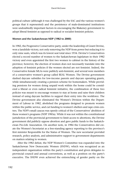political culture (although it was challenged by the SAC and the various women's groups that it represented) and the persistence of male-dominated institutions were undoubtedly important factors in encouraging the Blakeney government to adopt liberal feminist as opposed to radical or socialist feminist policies.

#### **Women and the Saskatchewan NDP (1982 to 2000)**

In 1982, the Progressive Conservative party, under the leadership of Grant Devine, won a landslide victory, not only removing the NDP from power but reducing it to only nine seats, which was its lowest seat total since 1934. Devine's Conservatives elected a record number of women to the Saskatchewan legislature in their 1982 victory and even appointed the first two women to cabinet in the history of the province; however, the election of women does not necessarily translate into the adoption of feminist policies if the women elected are not feminist. Indeed, the Conservative female MLAs were publicly anti-feminist, and several were members of a conservative women's group called REAL Women. The Devine government slashed daycare subsidies for low-income parents and daycare operating grants, while simultaneously creating a pension scheme for homemakers. While providing pensions for women doing unpaid work within the home could be considered a liberal or even radical feminist initiative, the combination of these two policies was meant to encourage women to stay at home and raise their children instead of using daycare facilities to support their entry into the workforce. The Devine government also eliminated the Women's Division within the Department of Labour in 1982, abolished the programs designed to promote women within the public service, and cut funding to women's shelters and rape crisis centres. The NDP's small caucus was openly critical of the Conservatives' abolition of these women's programs (NDP 1983a). While it was not within the constitutional jurisdiction of the provincial government to limit access to abortions, the Devine government did publicly oppose abortion and gave public funds to the Saskatchewan Pro-Life Association. On another note, in 1984 the Conservatives did create the Women's Secretariat as a free-standing agency reporting to the province's first minister Responsible for the Status of Women. The new secretariat provided research, policy analysis, and administrative support to government departments on matters relating to women.

After the 1982 defeat, the NDP Women's Committee was expanded into the Saskatchewan New Democratic Women (SNDW), which was recognized as an independent organization within the party's constitution and given delegates to provincial council and annual conventions, as well as a position on the party's executive. The SNDW even achieved the entrenching of gender parity on the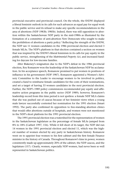provincial executive and provincial council. On the whole, the SNDW displayed a liberal feminist outlook in its calls for such advances as equal pay for equal work in the public service and its refusal to make any specific recommendations in the area of abortions (NDP 1983b; 1985b). Indeed, there was still opposition to abortion within the Saskatchewan NDP party in the mid-1980s as illustrated by the formation of a committee of anti-abortion New Democrats who sought to make the prohibition of abortions a party policy.<sup>3</sup> Reflecting the strength of the SNDW, the NDP ran 11 women candidates in the 1986 provincial election and elected 3 female MLAs. The NDP's platform in that election contained a section on women that was inspired by the SNDW's liberal feminism in its calls for pay equity in the public service, strengthening of the *Matrimonial Property Act*, and increased funding for daycare for low-income families.

After Blakeney's resignation due to the NDP's defeat in the 1986 provincial election, Roy Romanow won the leadership of the Saskatchewan NDP by acclamation. In his acceptance speech, Romanow promised to put women in positions of influence in his government (NDP 1987). Romanow appointed a Women's Advisory Committee to the Leader to encourage women to be involved in politics, created a fund to reimburse female candidates for the costs of their nominations, and set a target of having 33 women candidates in the next provincial election. Further, the NDP's 1989 policy commissions recommended pay equity and affirmative action programs in the public sector (NDP 1989); however, Romanow's leadership record from this time period is not spotless: a female NDP MLA claims that she was pushed out of caucus because of her feminist views when a young male lawyer successfully contested her nomination for the 1991 election (Smart 1992). The party also confirmed its opposition to free-standing abortion clinics that would offer abortions outside of hospitals, and women were not mentioned in the NDP's short platform for the 1991 provincial election.

The 1991 provincial election was a watershed for the representation of women in the Saskatchewan legislature as the percentage of female MLAs jumped from 8% to 18% (Carbert 1997, 156). While it fell short of its target, the NDP did run 14 women in the 1991 provincial election and elected 11, which was the highest number of women elected by any party in Saskatchewan history. Romanow went on to appoint four women to his first cabinet and the first female Finance minister in the history of Canada. Throughout Romanow's time in power, women consistently made up approximately 20% of the cabinet, the NDP caucus, and the legislature (157). Clearly, women, especially NDP women, had never been so well represented in Saskatchewan politics.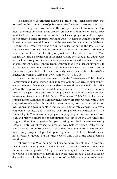The Romanow government followed a Third Way social democracy that focussed on the maintenance of public enterprise for essential services, the attraction of external private investment as the principle means of economic development, the search for a consensus between employers and unions on labour code modifications, the rationalization of universal social programs, and the expansion of targeted social programs (McGrane 2006). In terms of women's policy, the Romanow government did not expand the Women's Secretariat into a full-blown Department of Women's Affairs as SAC had called for during the 1991 election (Draaisma 1991). While such departments exist in other countries, it should be noted that, as of the time of writing, no provincial or federal government in Canada has ever had a Department of Women's Affairs. Even though no quotas were set, the Romanow government enacted a policy to increase the number of women on government boards. It succeeded in ensuring that 44% of its appointments to boards were women, but the efforts of some female NDP MLAs failed to ensure guaranteed representation of women on newly created health district boards (Saskatchewan Women's Secretariat 1996; Carbert 1997, 169-70).

Under the Romanow government, both the Saskatchewan Public Service Commission and Saskatchewan Human Rights Commission created employment equity programs that made some modest progress during the 1990s. By 1999, 50% of the employees of the Saskatchewan public service were women, but only 35% of managerial jobs and 21% of designated non-traditional jobs were held by women (Saskatchewan Public Service Commission 2000). The Saskatchewan Human Rights Commission's employment equity program worked with Crown corporations, school boards, municipal governments, post-secondary education institutions, non-governmental organizations, and private companies to create employment equity plans to increase their hiring of women. Participation in the Human Rights Commission's employment equity program was voluntary, however, and just two private sector corporations had joined up by 2000. Under this program, 48% of employees within participating organizations were women by 1999, but only 35% of managerial positions were held by women (Saskatchewan Human Rights Commission 2000). It should be noted that both of these employment equity programs depended upon a system of goals to be strived for and not a system of quotas, and that they covered only 11% of the total provincial workforce.4

Following Third Way thinking, the Romanow government initiated programs that targeted specific groups of women instead of universal programs aimed at all the women in the province. The government attempted to increase the number of women in non-traditional jobs in the private sector through a grant to female doctoral students in the sciences, provision of specialized computer training for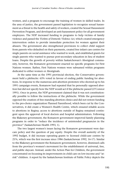women, and a program to encourage the training of women in skilled trades. In the area of justice, the government passed legislation to recognize sexual harassment as a threat to the health and safety of workers, created the Sexual Harassment Prevention Program, and developed an anti-harassment policy for all government employees. The NDP increased funding to programs to help victims of family violence and passed the *Victims of Domestic Violence Act,* which created emergency intervention orders to provide immediate protection for women against their abusers. The government also strengthened provisions to collect child support from parents who defaulted on their payments, created free infant care centres for single parents on social assistance who wanted to work, and established grants for single parents who wanted to pursue post-secondary education in lieu of student loans. Despite the growth of poverty within Saskatchewan's Aboriginal community, however, the Romanow government enacted no specific programs for First Nations women. Rather, First Nations women were subsumed within programs dedicated to either women or Aboriginals.

At the same time as the 1991 provincial election, the Conservative government held a plebiscite: 63% voted in favour of ending public funding for abortions. In response to the numerous anti-abortion protesters who showed up to his 1991 campaign events, Romanow had repeated that he personally opposed abortion but did not specify how the NDP would act if the plebiscite passed (O'Connor 1991). Once in power, the NDP government claimed that it was not constitutionally possible to follow the instructions of the plebiscite. While the government opposed the creation of free-standing abortion clinics and did not restore funding to the pro-choice organization Planned Parenthood, which been cut by the Conservatives, it did create a Women's Health Centre, which ensured reliable access to abortions in Regina; access to abortions outside of Regina remained contingent upon the approval of local doctors and hospital administrators. Following the Blakeney government, the Romanow government improved family planning programs in order to "reduce the incidence of unintended pregnancies in the province" (Saskatchewan Health 1993, 1).

The two largest women's issues facing the Romanow government were daycare policy and the question of pay equity. Despite the overall austerity of the 1992 budget, it did increase operating grants to licensed child-care centres by 21%, which was the first increase since 1986 (Saskatchewan 1992, 16-17). Similar to the Blakeney government the Romanow government, however, dismissed calls from the province's women's movement for the establishment of universal, free, and public daycare. Instead, under the Action Plan for Children, the government concentrated on focussing its improvements in child care on low-income and "atrisk" children. A report by the Saskatchewan Institute of Public Policy depicts the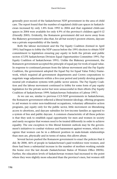generally poor record of the Saskatchewan NDP government in the area of child care. The report found that the number of regulated child-care spaces in Saskatchewan increased by only 1.8% from 1992 to 2004 and that regulated child-care spaces in 2004 were available for only 4.9% of the province's children aged 0-12 (Friendly 2005). Evidently, the Romanow government did not move away from the Blakeney government's idea that, for all but society's poorest citizens, daycare was a private responsibility of the family.

Both the labour movement and the Pay Equity Coalition (formed in April 1991) had begun to lobby the NDP caucus before the 1991 election to obtain NDP commitment to legislation ensuring pay equity in both the private and public sectors (CUPE Saskatchewan Division Equal Opportunities Committee 1991; Pay Equity Coalition of Saskatchewan 1991). Unlike the Blakeney government, the Romanow government accepted the principle of equal pay for work of equal value. In response to continued pressure from the labour movement and the Pay Equity Coalition, the government adopted the Equal Pay for Equal Value Policy Framework, which required all government departments and Crown corporations to negotiate wage adjustments within a five-year period and jointly develop genderneutral job evaluation systems with public sector unions. The Pay Equity Coalition and the labour movement continued to lobby for some form of pay equity legislation for the private sector but were unsuccessful in their efforts (Pay Equity Coalition of Saskatchewan 1999; Saskatchewan Federation of Labour 1997).

As we can see, similar to previous CCF-NDP governments in Saskatchewan, the Romanow government reflected a liberal feminist ideology, offering programs to aid women to enter non-traditional occupations, voluntary affirmative action programs, pay equity only for the public sector, little movement on liberalizing access to abortions, and daycare subsidies for low-income families as opposed to a system of free and public daycare. A common characteristic of all these policies is that they seek to establish equal opportunity for men and women in society and rarely recognize that women need to be treated differently in order to achieve equality. The one exception to this liberal feminist outlook may be the government's initiatives to combat violence and harassment against women, which recognize that women can be in a different position in male-female relationships than men are, physically and in terms of status; this allows abuse.

Several factors pushed the Romanow government to enact the policies that it did. By 2000, 46% of people in Saskatchewan's paid workforce were women, and there had been a substantial increase in the number of mothers working outside the home over the last decade (Saskatchewan Status of Women Office 2005b). Further, the education levels of Saskatchewan women had increased to the point where they were slightly more educated than the province's men, but women still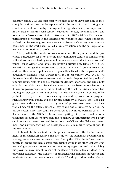generally earned 25% less than men, were more likely to have part-time or insecure jobs, and remained under-represented in the areas of manufacturing, construction, agriculture, forestry, mining, and energy while being over-represented in the areas of health, social services, education services, accommodation, and food services (Saskatchewan Status of Women Office 2005a; 2005c). The increased participation of women in the Saskatchewan workforce under these conditions pushed the Romanow government to act on issues such as pay equity, sexual harassment in the workplace, limited affirmative action, and the participation of women in non-traditional professions.

The growth in the number of women in cabinet, the legislature, and the provincial bureaucracy began to alter the male-dominated culture of Saskatchewan political institutions, leading to more intense awareness and action on women's issues. Louise Carbert and Janice MacKinnon illustrate how female NDP MLAs worked hard to get the government to adopt the women's policies that it did and how these women politicians were generally satisfied with the government's direction on women's issues (Carbert 1997, 161-65; MacKinnon 2003, 260-63). At the same time, the Romanow government routinely disappointed the province's feminist groups with its policies concerning daycare, abortions, and pay equity only for the public sector. Several elements may have been responsible for the Romanow government's moderation. Certainly, the fact that Saskatchewan had the highest per capita debt and deficit in Canada when the NDP entered office prohibited the government from creating new and expensive social programs such as a universal, public, and free daycare system (Waiser 2005, 458). The NDP government's dedication to attracting external private investment may have worked against the establishment of pay equity and affirmative action in the private sector, since they could be perceived as driving up business costs. The liberal nature of the NDP's feminism before getting into power should also be taken into account. As we have seen, the Romanow government inherited a very cautious stance towards women's issues from the CCF and the Blakeney government, and its women's wing had developed a liberal feminist viewpoint prior to the 1991 election.

It should also be realized that the general weakness of the feminist movement in Saskatchewan reduced the pressure on the Romanow government to take aggressive stances on women's issues. During the 1990s, the SAC was centred mostly in Regina and had a small membership while most other Saskatchewan women's groups were concentrated on community organizing and did not lobby the provincial government. In spite of the election of several female MLAs to the provincial legislature, the weakness of Saskatchewan's feminist movement and moderate nature of women's policies of the NDP and opposition parties reflected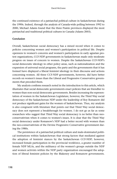the continued existence of a patriarchal political culture in Saskatchewan during the 1990s. Indeed, through the analysis of Canada-wide polling between 1992 to 2000, Michael Adams found that the three Prairie provinces displayed the most patriarchal and traditional political cultures in Canada (Adams 2003).

## **Conclusion**

Overall, Saskatchewan social democracy has a mixed record when it comes to policies concerning women and women's participation in political life. Despite openness to women's concerns and women's participation in early agrarian protest organizations, CCF-NDP governments in Saskatchewan made only moderate progress on issues of concern to women. Despite the Saskatchewan CCF-NDP's social democratic ideology in other policy areas, such as nationalization and the expansion of universal social programs, the party and the governments that it has formed have displayed a liberal feminist ideology in their discourse and actions concerning women. All three CCF-NDP governments, however, did have better records on women's issues than the Liberal and Progressive Conservative governments that preceded them.

My analysis confirms research noted in the introduction to this article, which illustrates that social democratic governments enact policies that are friendlier to women than non-social democratic governments. Besides increasing the representation of women in the Saskatchewan Legislature, however, the Third Way social democracy of the Saskatchewan NDP under the leadership of Roy Romanow did not produce significant gains for the women of Saskatchewan. Thus, my analysis is also congruent with literature that points out that Third Way social democracy does not represent a breakthrough for women. I do not go as far as some researchers who suggest that Third Way social democracy is no better than neoconservativism when it comes to women's issues. It is clear that the Third Way social democracy under Romanow's NDP had a better record with women than the neo-conservativism of the Devine Progressive Conservative government during the 1980s.

The persistence of a patriarchal political culture and male-dominated political institutions within Saskatchewan that strong factors that mediated against the adoption of feminist stances by the Saskatchewan CCF-NDP; however, increased female participation in the provincial workforce, a greater number of female NDP MLAs, and the militancy of the women's groups outside the NDP and women activists within the NDP party organization encouraged the adoption of liberal feminist policies by the Blakeney and Romanow governments.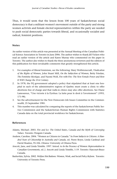Thus, it would seem that the lesson from 100 years of Saskatchewan social democracy is that a militant women's movement outside of the party and strong women activists and female elected representatives within the party are needed to push social democratic parties towards liberal, and occasionally socialist and radical, feminist positions.

## **Notes**

An earlier version of this article was presented at the Annual Meeting of the Canadian Political Science Association in Toronto in June 2006. The author wishes to thank Jill Vickers who read an earlier version of the article and Karen Murray who commented on the paper in Toronto. The author also wishes to thank the three anonymous reviewers and the editiors of this publication for their invaluable comments that greatly strengthened this article.

- 1. For examples of liberal feminism, see the following: Mary Wollstonecraft, *Vindication of the Rights of Women*, John Stuart Mill, *On the Subjection of Women*, Betty Friedan, *The Feminine Mystique,* and Naomi Wolf, *Fire with Fire: The New Female Power and How It Will Change the 21st Century*.
- 2. In 1978, the PQ government adopted a policy that stipulated that at least one hospital in each of the administrative regions of Quebec must create a clinic to offer abortions free of charge and that walk-in clinics may also offer abortions. See Diane Lamoureux, "Une victorie à la Pyrrhus: La lutte pour le droit à l'avortement" (1993, 171-98).
- 3. See the advertisement for the New Democrats Life Issues Committee in the *Commonwealth*, 25 September 1985.
- 4. This number was calculated by comparing the reports of the Saskatchewan Public Service Commission and the Saskatchewan Human Rights Commission with Statistics Canada data on the total provincial workforce for Saskatchewan.

# **References**

- Adams, Michael. 2003. *Fire and Ice: The United States, Canada and the Myth of Converging Values*. Toronto: Penguin Canada.
- Andrew, Caroline. 2004. "Women as Citizens in Canada." In *From Subjects to Citizens: A Hundred Years of Citizenship in Australia and Canada*, ed. Pierre Boyer, Linda Cardinal and David Headon, 95-106. Ottawa: University of Ottawa Press.
- Arscott, Jane, and Linda Trimble. 1997. Introd. to *In the Presence of Women: Representation in Canadian Governments*, ed. J. Arscott and Linda Trimble, 1-19. Toronto: Harcourt-Brace Canada.
- Bashevkin, Sylvia. 2002. *Welfare Hot Buttons: Women, Work, and Social Policy Reform.* Toronto: University of Toronto Press.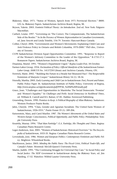- Blakeney, Allan. 1971. "Status of Women, Speech from 1971 Provincial Election." R800. LIX.1a. Blakeney Papers. Saskatchewan Archives Board, Regina, SK.
- Bryson, Valerie. 2003. *Feminist Political Theory: An Introduction*. 2nd ed. New York: Palgrave Macmillan.
- Carbert, Louise. 1997. "Governing on 'The Correct, The Compassionate, The Saskatchewan Side of the Border.'" In *In the Presence of Women: Representation in Canadian Governments*, ed. Jane Arscott and Linda Trimble, 154-79. Toronto: Harcourt-Brace Canada.
- Collier, Cheryl. 2006. "Governments and Women's Movements: Explaining Child Care and Anti-Violence Policy in Ontario and British Columbia, 1970-2000." PhD diss., University of Toronto.
- CUPE Saskatchewan Division Equal Opportunities Committee. 1991. "Response to Report of the Women's Advisory Committee to the Leader of the Opposition." R-1733.17.1. Romanow Papers. Saskatchewan Archives Board, Regina, SK.

Draaisma, Muriel. 1991. "Women's Department Urged." *Regina Leader-Post*, 18 October.

Farmer-Labor Group. 1934. *Declaration of Policy: Official Manifesto of the Saskatchewan Farmer-Labor Group*, AMICUS No. 14137250 Library and Archives Canada, Ottawa, ON.

- Fenwick, Marie. 2002. "'Building the Future in a Steady but Measured Pace': The Respectable Feminism of Marjorie Cooper." *Saskatchewan History* 54 (1): 18-34.
- Friendly, Martha. 2005. *Early Learning and Child Care in Saskatchewan: Past, Present and Future*. Public Policy Paper 36. Saskatchewan Institute of Public Policy, University of Regina, *http://www.uregina.ca/sipp/documents/pdf/PPP36\_%20M%20Friendly.pdf.*
- Grace, Joan. "Challenges and Opportunities in Manitoba: The Social Democratic 'Promise' and Women's Equality." In *Challenges and Perils: Social Democracy in Neoliberal Times*, ed. William K. Carroll and R.S. Ratner, 67-81. Halifax: Fernwood Publishing.
- Gruending, Dennis. 1990. *Promises to Keep: A Political Biography of Allan Blakeney*. Saskatoon: Western Producer Prairie Books.
- Jahn, Cheryle. 1994. "Class, Gender and Agrarian Socialism: The United Farm Women of Saskatchewan, 1926-1931." *Prairie Forum* 19 (1): 189-206.
- Katzenstein, Mary, and Carol Mueller. 1987. *The Women's Movements of the United States and Western Europe: Consciousness, Political Opportunity, and Public Policy.* Philadelphia: Temple University Press.
- Knuttila, Murray. 1994. *"That Man Partridge"*: *E.A. Partridge, His Thoughts and Times*. Regina: Canadian Plains Research Centre.
- Leger-Anderson, Ann. 2005. "Women of Saskatchewan: Historical Overview." In *The Encyclopedia of Saskatchewan*, 1033-35. Regina: Canadian Plains Research Centre.
- Lovenduski, Joni. 1986. *Women and European Politics: Contemporary Feminism and Public Policy*. Brighton: Wheatsheaf Books.
- MacKinnon, Janice. 2003. *Minding the Public Purse: The Fiscal Crisis, Political Trade-Offs, and Canada's Future*. Montreal: McGill-Queen's University Press.
- Martin, Judith. 1995. "The Continuing Struggle for Universal Day Care." In *Social Policy and Social Justice: The NDP Government in Saskatchewan during the Blakeney Years*, ed. Jim Harding, 17-52. Waterloo: Wilfrid Laurier University Press.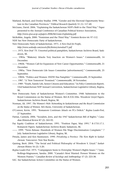- Matland, Richard, and Donley Studlar. 1998. "Gender and the Electoral Opportunity Structure in the Canadian Provinces." *Political Research Quarterly* 51 (1): 117-40.
- McGrane, David. 2006. "Explaining the Saskatchewan NDP's Shift to the Third Way." Paper presented to the Annual Conference of Canadian Political Science Association, *http://www.cpsa-acsp.ca/papers-2006/McGrane-Explaining.pdf.*
- McRobbie, Angela. 2000. "Feminism and the Third Way." *Feminist Review* 64: 97-112.

NDP. See New Democratic Party of Saskatchewan.

New Democratic Party of Saskatchewan. 1971. *A New Deal for People*,

*http://www.saskndp.com/assets/file/history/newdeal71.pdf*

- ——. 1975. *New Deal '75*. Unsorted political pamphlets, Saskatchewan Archives Board, Saskatoon, SK.
- ——. 1983a. "Blakeney Attacks Tory Inaction on Women's Issues." *Commonwealth*, 14 December.
- ——. 1983b. "Women Call for Expansion of New Career Opportunities." *Commonwealth*, 21 December.
- ——. 1985a. "New Democrats Life Issues Committee [advertisement]." *Commonwealth*, 25 September.
- ——. 1985b. "Politics and Women: SNDW Has Pamphlet." *Commonwealth*, 25 September.
- ——. 1987. "A 'New Tomorrow' Promised." *Commonwealth*, 18 November.
- ——. 1989. "Youth, Family Life, Senior Citizens and Education." In *Policy Commission Reports*. 53rd Saskatchewan NDP Annual Convention, Saskatchewan Legislative Library, Regina, SK.
- New Democratic Party of Saskatchewan Women's Committee. 1968. Submission to the Royal Commission on the Status of Women. R61.8.XXI.106s. Woodrow Lloyd Papers. Saskatchewan Archives Board, Regina, SK.
- Norman, Ali. 1997. *The Women's Web: Networking in Saskatchewan and the Royal Commission on the Status of Women*. MA thesis, University of Saskatchewan.
- O'Connor, Kevin. 1991. "Romanow Continues Attack on PCs Deficit." *Regina Leader-Post*, 27 September.
- Patrias, Carmela. 2006. "Socialists, Jews, and the 1947 Saskatchewan Bill of Rights." *Canadian Historical Review* 87 (2): 265-92.
- Pay Equity Coalition of Saskatchewan. 1991. "Position Paper, May 1991." R-1733.17.1. Romanow Papers. Saskatchewan Archives Board, Saskatoon, SK.
- ——. 1999. "News Release: Hundreds of Women File Wage Discrimination Complaint." 7 July. Saskatchewan Legislative Library, Regina, SK.
- Pitsula, James and Ken Rasmussen. 1990. *Privatizing a Province: The New Right in Saskatchewan.* Vancouver: New Star Books.
- Quiring, Brett. 2004. "The Social and Political Philosophy of Woodrow S. Lloyd." *Saskatchewan History* 56 (2): 5-20.
- *Regina Leader-Post.* 1975. "Campaigners Seem to Downplay Women's Rights Issues." 7 June. Rollings-Magnusson, Sandra. 2000. "Canada's Most Wanted: Pioneer Women on the Western Prairies." *Canadian Review of Sociology and Anthropology* 37 (2): 223-38.
- SAC. See Saskatchewan Action Committee on the Status of Women.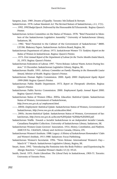Sangster, Joan. 1989. *Dreams of Equality*. Toronto: McClelland & Stewart.

Saskatchewan. 1978. *Labour Standards Act*. The Revised Statues of Saskatchewan, c.L1, 17(1).

- ——. 1992. *1992 Budget Speech*. Delivered by the Honourable Ed Tchorzewski. Regina: Queen's Printer.
- Saskatchewan Action Committee on the Status of Women. 1978. "Brief Presented to Members of the Saskatchewan Legislative Assembly." University of Saskatchewan Library, Saskatoon, SK.
- ——. 1982. "Brief Presented to the Cabinet of the Government of Saskatchewan." R800. LXV.86. Blakeney Papers. Saskatchewan Archives Board, Regina, SK.
- Saskatchewan Department of Labour. 1973. *Saskatchewan Women '73: Taskforce Report on the Status of Women in Saskatchewan.* Regina: Queen's Printer.
- ——. 1975. *First Annual Report of the Department of Labour for the Twelve Months Ended March, 31, 1975*. Regina: Queen's Printer.
- Saskatchewan Federation of Labour. 1997. "News Release: Labour Wants Action During Session." 15 December. Saskatchewan Legislative Library, Regina, SK.
- Saskatchewan Health. 1993. *Advisory Committee on Family Planning to the Honourable Louise Simard, Minister of Health*. Regina: Queen's Printer.
- Saskatchewan Human Rights Commission. 2000. *Equity 2000: Employment Equity Report 1999-2000*. Regina: Queen's Printer.
- Saskatchewan Public Health Department. 1973. *Report on Therapeutic Abortions*. Regina: Queen's Printer.
- Saskatchewan Public Service Commission. 2000. *Employment Equity Annual Report 2000.* Regina: Queen's Printer.
- Saskatchewan Status of Women Office. 2005a. *Education: Statistical Update*. Saskatchewan Status of Women, Government of Saskatchewan,

*http://www.swo.gov.sk.ca/ employment.html*.

- ——. 2005b. *Employment: Statistical Update.* Saskatchewan Status of Women, Government of Saskatchewan, *http://www.swo.gov.sk.ca/education.html*.
- ——. 2005c. *Income-Statistical Update*. Saskatchewan Status of Women, Government of Saskatchewan, *http://www.swo.gov.sk.ca/Income%20Update %20Mar%202002.pdf.*

Saskatchewan Waffle. *Towards a Socialist Saskatchewan in an Independent Socialist Canada.* Canadiana Pamphlet Collection. University of Saskatchewan Library, Saskatoon, SK.

Saskatchewan Women Grain Growers' Association. 1914. *History, Constitution, and Platform*. AMICUS No. 13645625, Library and Archives Canada, Ottawa, ON.

- Saskatchewan Women's Institute. 1988. Legacy: *A History of Saskatchewan Homemakers' Clubs and Women's Institute, 1911-1988*. Saskatoon: Focus Publishing.
- Saskatchewan Women's Secretariat. 1996. "News Release: International Women's Day— March 8." 7 March. Saskatchewan Legislative Library, Regina, SK.
- Smart, Anne. 1992. "Introducing the Feminine into the Body Politics—and Experiencing Its Allergic Reaction." *Canadian Woman's Studies* 12 (3): 59-63.
- Smith, David. 1975. *Prairie Liberalism: The Liberal Party in Saskatchewan, 1905-71*. Toronto: University of Toronto Press.